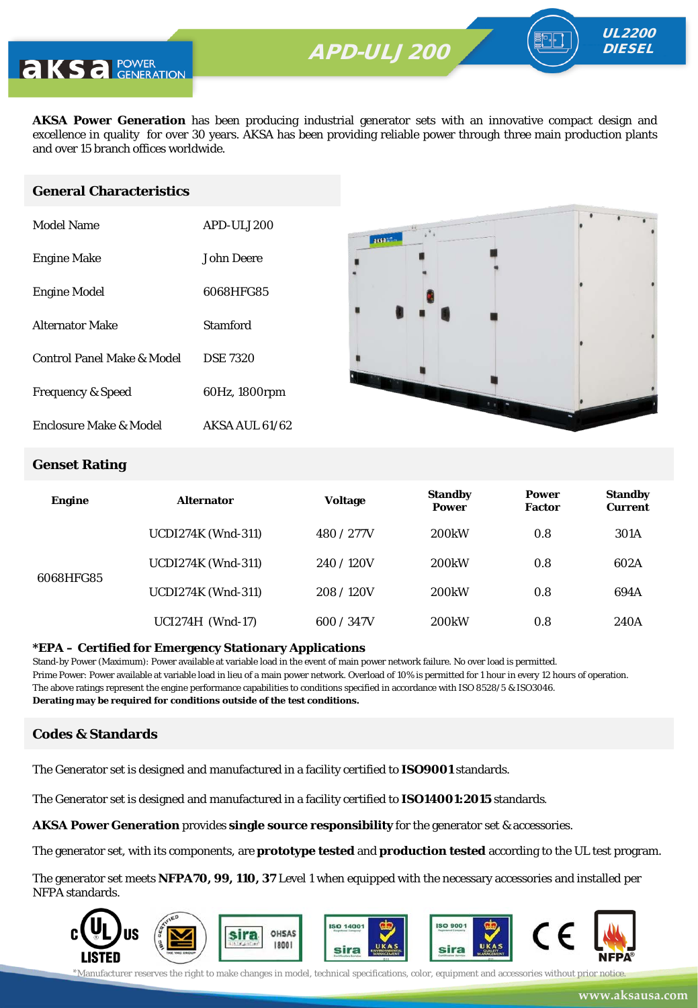

**AKSA Power Generation** has been producing industrial generator sets with an innovative compact design and excellence in quality for over 30 years. AKSA has been providing reliable power through three main production plants and over 15 branch offices worldwide.

#### **General Characteristics**

| Model Name                   | APD-ULJ200            |
|------------------------------|-----------------------|
| <b>Engine Make</b>           | John Deere            |
| <b>Engine Model</b>          | 6068HFG85             |
| <b>Alternator Make</b>       | Stamford              |
| Control Panel Make & Model   | <b>DSE 7320</b>       |
| <b>Frequency &amp; Speed</b> | 60Hz, 1800rpm         |
| Enclosure Make & Model       | <b>AKSA AUL 61/62</b> |



UL2200 **DIESEL** 

#### **Genset Rating**

| <b>Engine</b> | <b>Alternator</b>         | <b>Voltage</b> | <b>Standby</b><br><b>Power</b> | <b>Power</b><br><b>Factor</b> | <b>Standby</b><br><b>Current</b> |
|---------------|---------------------------|----------------|--------------------------------|-------------------------------|----------------------------------|
|               | <b>UCDI274K (Wnd-311)</b> | 480 / 277V     | <b>200kW</b>                   | 0.8                           | 301A                             |
| 6068HFG85     | <b>UCDI274K (Wnd-311)</b> | 240/120V       | 200 <sub>k</sub> W             | 0.8                           | 602A                             |
|               | <b>UCDI274K (Wnd-311)</b> | 208/120V       | 200 <sub>k</sub> W             | 0.8                           | 694A                             |
|               | UCI274H (Wnd-17)          | 600 / 347V     | 200 <sub>k</sub> W             | 0.8                           | 240A                             |

#### **\*EPA – Certified for Emergency Stationary Applications**

Stand-by Power (Maximum): Power available at variable load in the event of main power network failure. No over load is permitted. Prime Power: Power available at variable load in lieu of a main power network. Overload of 10% is permitted for 1 hour in every 12 hours of operation. The above ratings represent the engine performance capabilities to conditions specified in accordance with ISO 8528/5 & ISO3046. **Derating may be required for conditions outside of the test conditions.**

#### **Codes & Standards**

The Generator set is designed and manufactured in a facility certified to **ISO9001** standards.

The Generator set is designed and manufactured in a facility certified to **ISO14001:2015** standards.

**AKSA Power Generation** provides **single source responsibility** for the generator set & accessories.

The generator set, with its components, are **prototype tested** and **production tested** according to the UL test program.

The generator set meets **NFPA70, 99, 110, 37** Level 1 when equipped with the necessary accessories and installed per NFPA standards.

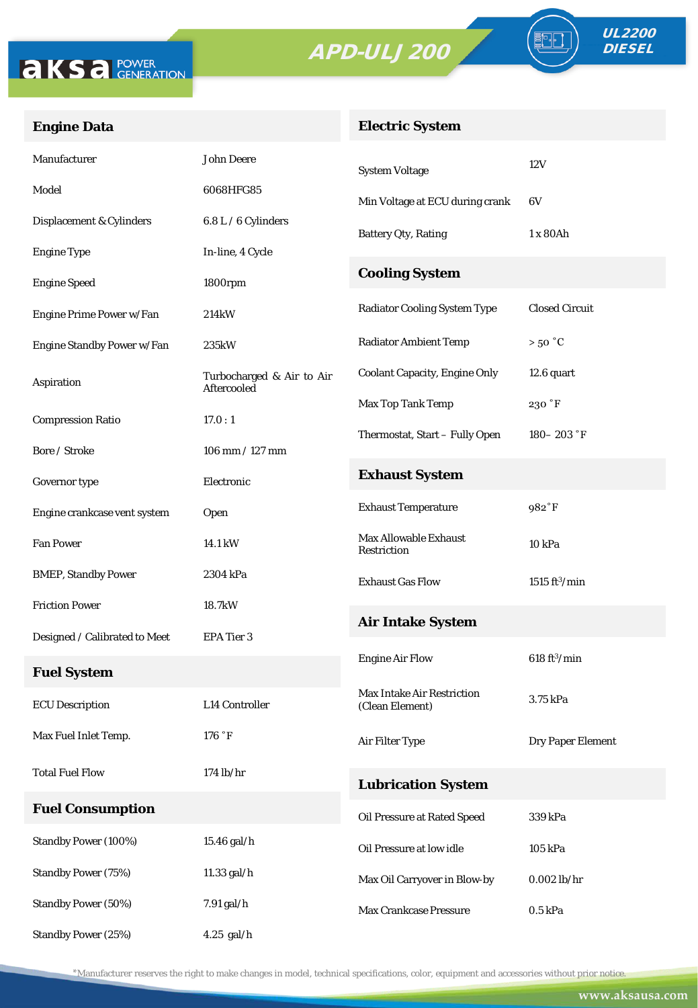# APD-ULJ200





FO

## **Engine Data**

## **Electric System**

| Manufacturer                  | <b>John Deere</b>                        | <b>System Voltage</b>                                | 12V                            |  |
|-------------------------------|------------------------------------------|------------------------------------------------------|--------------------------------|--|
| Model                         | 6068HFG85                                | Min Voltage at ECU during crank                      | 6V                             |  |
| Displacement & Cylinders      | 6.8 L / 6 Cylinders                      | <b>Battery Qty, Rating</b>                           | 1 x 80Ah                       |  |
| <b>Engine Type</b>            | In-line, 4 Cycle                         |                                                      |                                |  |
| <b>Engine Speed</b>           | 1800rpm                                  | <b>Cooling System</b>                                |                                |  |
| Engine Prime Power w/Fan      | 214kW                                    | <b>Radiator Cooling System Type</b>                  | <b>Closed Circuit</b>          |  |
| Engine Standby Power w/Fan    | 235kW                                    | <b>Radiator Ambient Temp</b>                         | $>50\degree C$                 |  |
| Aspiration                    | Turbocharged & Air to Air<br>Aftercooled | <b>Coolant Capacity, Engine Only</b>                 | 12.6 quart                     |  |
| <b>Compression Ratio</b>      | 17.0:1                                   | Max Top Tank Temp                                    | 230 °F                         |  |
| Bore / Stroke                 | $106$ mm $/ 127$ mm                      | Thermostat, Start - Fully Open                       | $180 - 203$ °F                 |  |
|                               |                                          | <b>Exhaust System</b>                                |                                |  |
| Governor type                 | Electronic                               | <b>Exhaust Temperature</b>                           | 982°F                          |  |
| Engine crankcase vent system  | Open                                     |                                                      |                                |  |
| <b>Fan Power</b>              | 14.1 kW                                  | <b>Max Allowable Exhaust</b><br>Restriction          | 10 kPa                         |  |
| <b>BMEP, Standby Power</b>    | 2304 kPa                                 | <b>Exhaust Gas Flow</b>                              | $1515 \text{ ft}^3/\text{min}$ |  |
| <b>Friction Power</b>         | 18.7kW                                   | <b>Air Intake System</b>                             |                                |  |
| Designed / Calibrated to Meet | EPA Tier 3                               |                                                      |                                |  |
| <b>Fuel System</b>            |                                          | <b>Engine Air Flow</b>                               | 618 ft <sup>3</sup> /min       |  |
| <b>ECU</b> Description        | L14 Controller                           | <b>Max Intake Air Restriction</b><br>(Clean Element) | 3.75 kPa                       |  |
| Max Fuel Inlet Temp.          | 176 °F                                   | Air Filter Type                                      | Dry Paper Element              |  |
| <b>Total Fuel Flow</b>        | $174$ lb/hr                              | <b>Lubrication System</b>                            |                                |  |
| <b>Fuel Consumption</b>       |                                          | Oil Pressure at Rated Speed                          | 339 kPa                        |  |
| Standby Power (100%)          | $15.46$ gal/h $\,$                       | Oil Pressure at low idle                             | 105 kPa                        |  |
| <b>Standby Power (75%)</b>    | 11.33 gal/h                              | Max Oil Carryover in Blow-by                         | $0.002$ lb/hr                  |  |
| <b>Standby Power (50%)</b>    | 7.91 gal/h                               | Max Crankcase Pressure                               | $0.5$ kPa                      |  |
| Standby Power (25%)           | $4.25$ gal/h                             |                                                      |                                |  |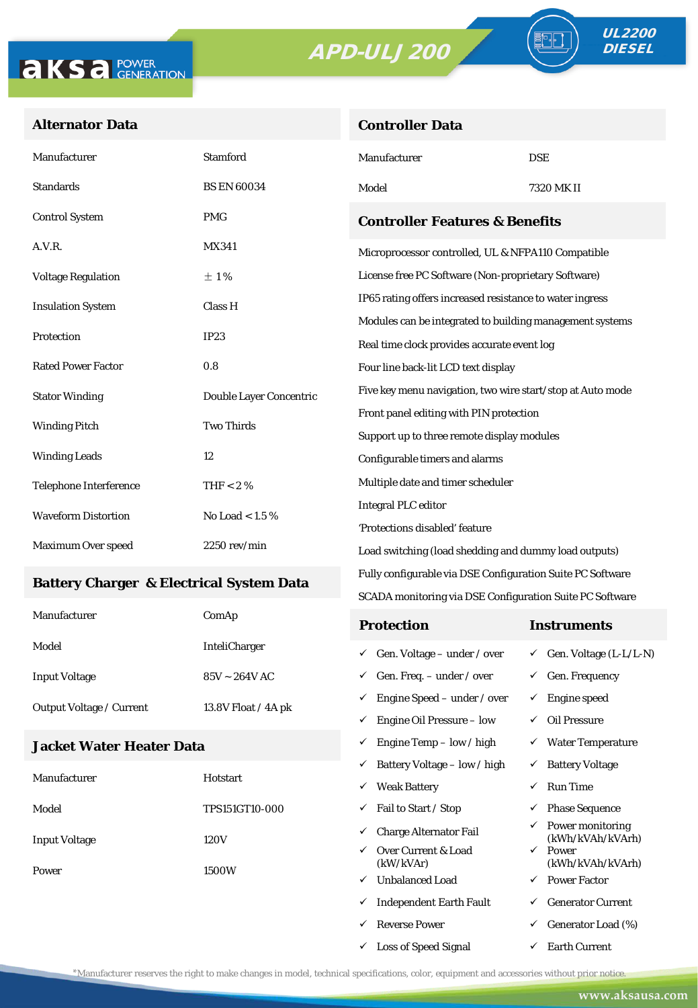# APD-ULJ200

**Controller Data**



### **Alternator Data**

| Manufacturer                                    | <b>Stamford</b>         | Manufacturer                                                                                    | <b>DSE</b> |  |  |
|-------------------------------------------------|-------------------------|-------------------------------------------------------------------------------------------------|------------|--|--|
| <b>Standards</b>                                | <b>BS EN 60034</b>      | Model                                                                                           | 7320 MK II |  |  |
| <b>Control System</b>                           | <b>PMG</b>              | <b>Controller Features &amp; Benefits</b><br>Microprocessor controlled, UL & NFPA110 Compatible |            |  |  |
| A.V.R.                                          | MX341                   |                                                                                                 |            |  |  |
| <b>Voltage Regulation</b>                       | $\pm 1\%$               | License free PC Software (Non-proprietary Software)                                             |            |  |  |
| <b>Insulation System</b>                        | Class H                 | IP65 rating offers increased resistance to water ingress                                        |            |  |  |
|                                                 |                         | Modules can be integrated to building management systems                                        |            |  |  |
| Protection                                      | IP23                    | Real time clock provides accurate event log                                                     |            |  |  |
| <b>Rated Power Factor</b>                       | 0.8                     | Four line back-lit LCD text display                                                             |            |  |  |
| <b>Stator Winding</b>                           | Double Layer Concentric | Five key menu navigation, two wire start/stop at Auto mode                                      |            |  |  |
| <b>Two Thirds</b><br><b>Winding Pitch</b>       |                         | Front panel editing with PIN protection                                                         |            |  |  |
|                                                 |                         | Support up to three remote display modules                                                      |            |  |  |
| <b>Winding Leads</b>                            | 12                      | Configurable timers and alarms<br>Multiple date and timer scheduler                             |            |  |  |
| Telephone Interference                          | THF $< 2 \%$            |                                                                                                 |            |  |  |
| <b>Waveform Distortion</b><br>No Load < $1.5\%$ |                         | <b>Integral PLC editor</b>                                                                      |            |  |  |
|                                                 |                         | 'Protections disabled' feature                                                                  |            |  |  |
| Maximum Over speed                              | $2250$ rev/min          | Load switching (load shedding and dummy load outputs)                                           |            |  |  |

#### **Battery Charger & Electrical System Data**

| Manufacturer             | ComAp                 | <b>Protection</b>                        | Instruments                         |
|--------------------------|-----------------------|------------------------------------------|-------------------------------------|
| Model                    | <b>InteliCharger</b>  | $\checkmark$ Gen. Voltage – under / over | $\checkmark$ Gen. Voltage (L-L/L-N) |
| <b>Input Voltage</b>     | $85V \sim 264V$ AC    | $\checkmark$ Gen. Freq. – under / over   | Gen. Frequency                      |
| Output Voltage / Current | 13.8V Float $/$ 4A pk | $\checkmark$ Engine Speed – under / over | Engine speed                        |
|                          |                       | Engine Oil Pressure – low<br>✓           | Oil Pressure                        |

Fully configurable via DSE Configuration Suite PC Software SCADA monitoring via DSE Configuration Suite PC Software

 $\checkmark$  Engine Temp – low / high  $\checkmark$  Water Temperature

 $\checkmark$  Loss of Speed Signal  $\checkmark$  Earth Current

### **Jacket Water Heater Data**

|                      |                       | ✓ | Battery Voltage – low / high     | $\checkmark$ | <b>Battery Voltage</b>               |
|----------------------|-----------------------|---|----------------------------------|--------------|--------------------------------------|
| Manufacturer         | Hotstart              | ✓ | <b>Weak Battery</b>              | ✓            | <b>Run Time</b>                      |
| Model                | <b>TPS151GT10-000</b> | ✓ | Fail to Start / Stop             | ✓            | <b>Phase Sequence</b>                |
| <b>Input Voltage</b> | 120V                  | ✓ | <b>Charge Alternator Fail</b>    | ✓            | Power monitoring<br>(kWh/kVAh/kVArh) |
| Power                | ✓<br>1500W<br>✓       |   | Over Current & Load<br>(kW/kVAr) | $\checkmark$ | Power<br>(kWh/kVAh/kVArh)            |
|                      |                       |   | <b>Unbalanced Load</b>           | $\checkmark$ | <b>Power Factor</b>                  |
|                      |                       | ✓ | <b>Independent Earth Fault</b>   | ✓            | <b>Generator Current</b>             |
|                      |                       |   | <b>Reverse Power</b>             | ✓            | Generator Load (%)                   |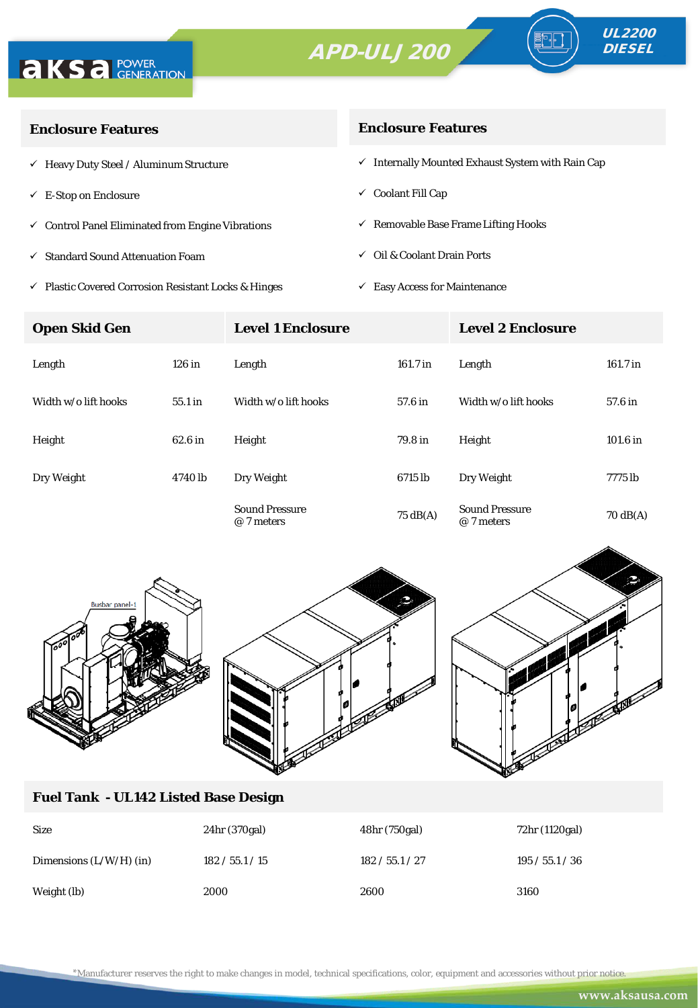# APD-ULJ200





| <b>Enclosure Features</b>                                    | <b>Enclosure Features</b>                                    |  |  |
|--------------------------------------------------------------|--------------------------------------------------------------|--|--|
| $\checkmark$ Heavy Duty Steel / Aluminum Structure           | $\checkmark$ Internally Mounted Exhaust System with Rain Cap |  |  |
| $\checkmark$ E-Stop on Enclosure                             | $\checkmark$ Coolant Fill Cap                                |  |  |
| $\checkmark$ Control Panel Eliminated from Engine Vibrations | $\checkmark$ Removable Base Frame Lifting Hooks              |  |  |
| $\checkmark$ Standard Sound Attenuation Foam                 | $\checkmark$ Oil & Coolant Drain Ports                       |  |  |
|                                                              |                                                              |  |  |

- $\checkmark$ Plastic Covered Corrosion Resistant Locks & Hinges
- $\checkmark$  Easy Access for Maintenance

| <b>Open Skid Gen</b> |           | <b>Level 1 Enclosure</b>            |                    | <b>Level 2 Enclosure</b>            |                    |
|----------------------|-----------|-------------------------------------|--------------------|-------------------------------------|--------------------|
| Length               | $126$ in  | Length                              | $161.7$ in         | Length                              | $161.7$ in         |
| Width w/o lift hooks | $55.1$ in | Width w/o lift hooks                | 57.6 in            | Width w/o lift hooks                | 57.6 in            |
| Height               | 62.6 in   | Height                              | 79.8 in            | Height                              | $101.6$ in         |
| Dry Weight           | 4740 lb   | Dry Weight                          | 6715 lb            | Dry Weight                          | 7775 lb            |
|                      |           | <b>Sound Pressure</b><br>@ 7 meters | $75 \text{ dB}(A)$ | <b>Sound Pressure</b><br>@ 7 meters | $70 \text{ dB(A)}$ |



## **Fuel Tank - UL142 Listed Base Design**

| <b>Size</b>               | 24hr (370gal)   | 48hr (750gal)   | 72hr (1120gal)  |
|---------------------------|-----------------|-----------------|-----------------|
| Dimensions $(L/W/H)$ (in) | 182 / 55.1 / 15 | 182 / 55.1 / 27 | 195 / 55.1 / 36 |
| Weight (lb)               | 2000            | 2600            | 3160            |